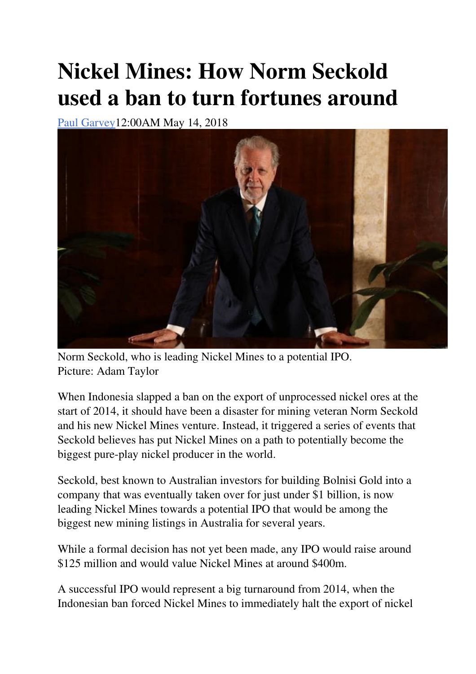## **Nickel Mines: How Norm Seckold used a ban to turn fortunes around**

Paul Garvey12:00AM May 14, 2018



Norm Seckold, who is leading Nickel Mines to a potential IPO. Picture: Adam Taylor

When Indonesia slapped a ban on the export of unprocessed nickel ores at the start of 2014, it should have been a disaster for mining veteran Norm Seckold and his new Nickel Mines venture. Instead, it triggered a series of events that Seckold believes has put Nickel Mines on a path to potentially become the biggest pure-play nickel producer in the world.

Seckold, best known to Australian investors for building Bolnisi Gold into a company that was eventually taken over for just under \$1 billion, is now leading Nickel Mines towards a potential IPO that would be among the biggest new mining listings in Australia for several years.

While a formal decision has not yet been made, any IPO would raise around \$125 million and would value Nickel Mines at around \$400m.

A successful IPO would represent a big turnaround from 2014, when the Indonesian ban forced Nickel Mines to immediately halt the export of nickel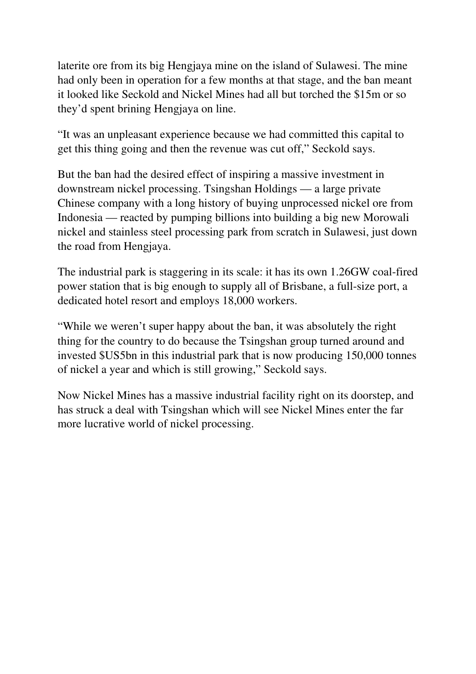laterite ore from its big Hengjaya mine on the island of Sulawesi. The mine had only been in operation for a few months at that stage, and the ban meant it looked like Seckold and Nickel Mines had all but torched the \$15m or so they'd spent brining Hengjaya on line.

"It was an unpleasant experience because we had committed this capital to get this thing going and then the revenue was cut off," Seckold says.

But the ban had the desired effect of inspiring a massive investment in downstream nickel processing. Tsingshan Holdings — a large private Chinese company with a long history of buying unprocessed nickel ore from Indonesia — reacted by pumping billions into building a big new Morowali nickel and stainless steel processing park from scratch in Sulawesi, just down the road from Hengjaya.

The industrial park is staggering in its scale: it has its own 1.26GW coal-fired power station that is big enough to supply all of Brisbane, a full-size port, a dedicated hotel resort and employs 18,000 workers.

"While we weren't super happy about the ban, it was absolutely the right thing for the country to do because the Tsingshan group turned around and invested \$US5bn in this industrial park that is now producing 150,000 tonnes of nickel a year and which is still growing," Seckold says.

Now Nickel Mines has a massive industrial facility right on its doorstep, and has struck a deal with Tsingshan which will see Nickel Mines enter the far more lucrative world of nickel processing.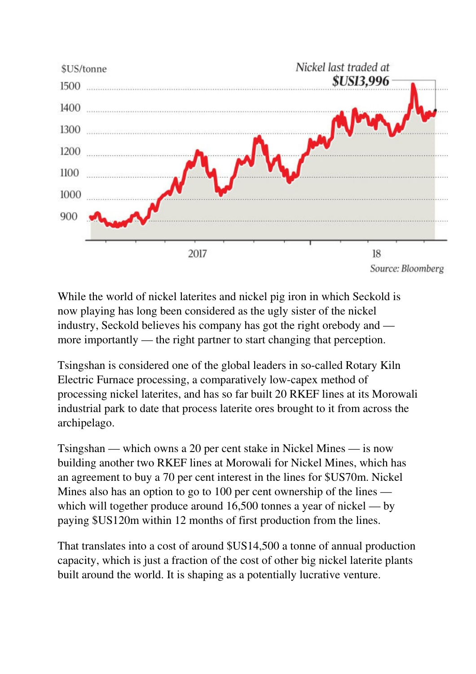

While the world of nickel laterites and nickel pig iron in which Seckold is now playing has long been considered as the ugly sister of the nickel industry, Seckold believes his company has got the right orebody and more importantly — the right partner to start changing that perception.

Tsingshan is considered one of the global leaders in so-called Rotary Kiln Electric Furnace processing, a comparatively low-capex method of processing nickel laterites, and has so far built 20 RKEF lines at its Morowali industrial park to date that process laterite ores brought to it from across the archipelago.

Tsingshan — which owns a 20 per cent stake in Nickel Mines — is now building another two RKEF lines at Morowali for Nickel Mines, which has an agreement to buy a 70 per cent interest in the lines for \$US70m. Nickel Mines also has an option to go to 100 per cent ownership of the lines which will together produce around 16,500 tonnes a year of nickel — by paying \$US120m within 12 months of first production from the lines.

That translates into a cost of around \$US14,500 a tonne of annual production capacity, which is just a fraction of the cost of other big nickel laterite plants built around the world. It is shaping as a potentially lucrative venture.